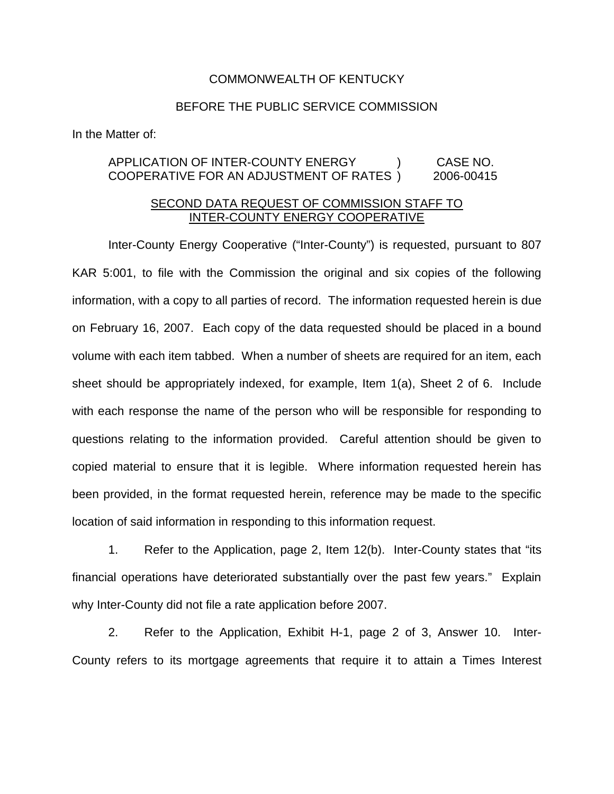## COMMONWEALTH OF KENTUCKY

## BEFORE THE PUBLIC SERVICE COMMISSION

In the Matter of:

## APPLICATION OF INTER-COUNTY ENERGY ) CASE NO. COOPERATIVE FOR AN ADJUSTMENT OF RATES ) 2006-00415

## SECOND DATA REQUEST OF COMMISSION STAFF TO INTER-COUNTY ENERGY COOPERATIVE

Inter-County Energy Cooperative ("Inter-County") is requested, pursuant to 807 KAR 5:001, to file with the Commission the original and six copies of the following information, with a copy to all parties of record. The information requested herein is due on February 16, 2007. Each copy of the data requested should be placed in a bound volume with each item tabbed. When a number of sheets are required for an item, each sheet should be appropriately indexed, for example, Item 1(a), Sheet 2 of 6. Include with each response the name of the person who will be responsible for responding to questions relating to the information provided. Careful attention should be given to copied material to ensure that it is legible. Where information requested herein has been provided, in the format requested herein, reference may be made to the specific location of said information in responding to this information request.

1. Refer to the Application, page 2, Item 12(b). Inter-County states that "its financial operations have deteriorated substantially over the past few years." Explain why Inter-County did not file a rate application before 2007.

2. Refer to the Application, Exhibit H-1, page 2 of 3, Answer 10. Inter-County refers to its mortgage agreements that require it to attain a Times Interest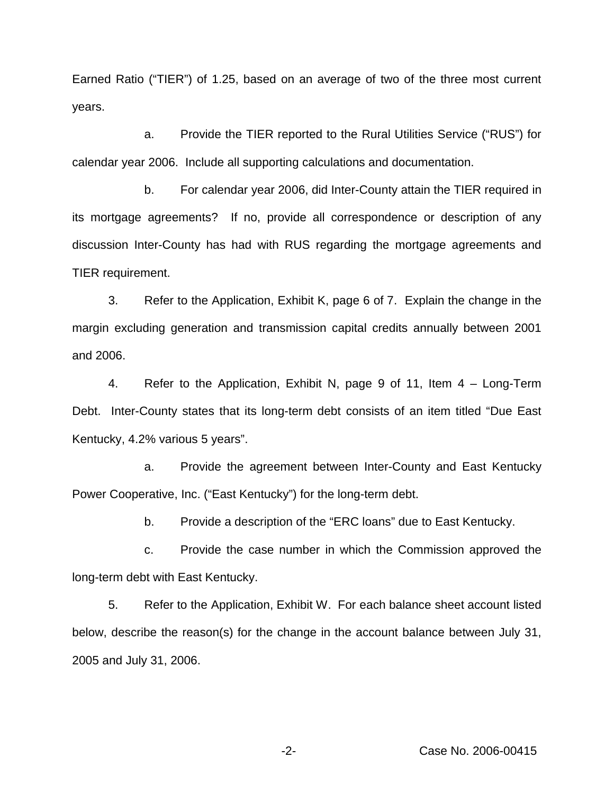Earned Ratio ("TIER") of 1.25, based on an average of two of the three most current years.

a. Provide the TIER reported to the Rural Utilities Service ("RUS") for calendar year 2006. Include all supporting calculations and documentation.

b. For calendar year 2006, did Inter-County attain the TIER required in its mortgage agreements? If no, provide all correspondence or description of any discussion Inter-County has had with RUS regarding the mortgage agreements and TIER requirement.

3. Refer to the Application, Exhibit K, page 6 of 7. Explain the change in the margin excluding generation and transmission capital credits annually between 2001 and 2006.

4. Refer to the Application, Exhibit N, page 9 of 11, Item 4 – Long-Term Debt. Inter-County states that its long-term debt consists of an item titled "Due East Kentucky, 4.2% various 5 years".

a. Provide the agreement between Inter-County and East Kentucky Power Cooperative, Inc. ("East Kentucky") for the long-term debt.

b. Provide a description of the "ERC loans" due to East Kentucky.

c. Provide the case number in which the Commission approved the long-term debt with East Kentucky.

5. Refer to the Application, Exhibit W. For each balance sheet account listed below, describe the reason(s) for the change in the account balance between July 31, 2005 and July 31, 2006.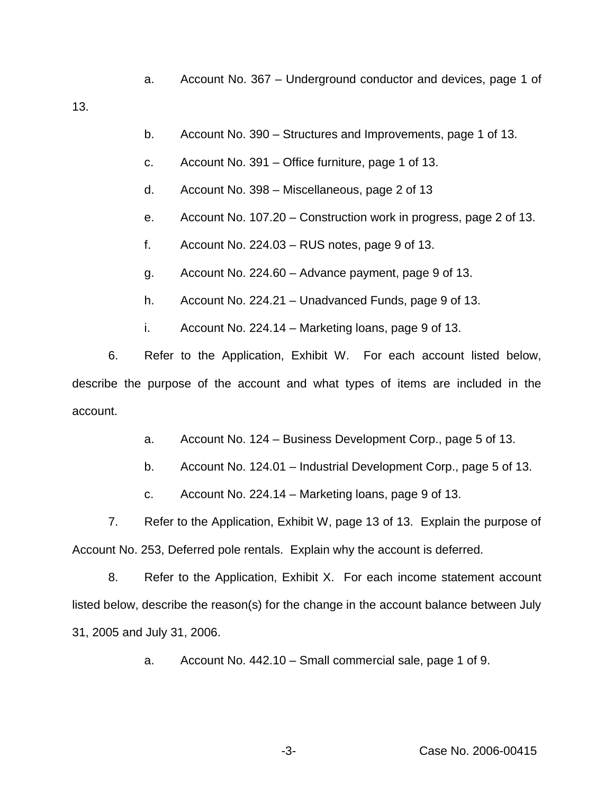a. Account No. 367 – Underground conductor and devices, page 1 of

13.

- b. Account No. 390 Structures and Improvements, page 1 of 13.
- c. Account No. 391 Office furniture, page 1 of 13.
- d. Account No. 398 Miscellaneous, page 2 of 13
- e. Account No. 107.20 Construction work in progress, page 2 of 13.
- f. Account No.  $224.03 RUS$  notes, page 9 of 13.
- g. Account No. 224.60 Advance payment, page 9 of 13.
- h. Account No. 224.21 Unadvanced Funds, page 9 of 13.
- i. Account No. 224.14 Marketing loans, page 9 of 13.

6. Refer to the Application, Exhibit W. For each account listed below, describe the purpose of the account and what types of items are included in the account.

- a. Account No. 124 Business Development Corp., page 5 of 13.
- b. Account No. 124.01 Industrial Development Corp., page 5 of 13.
- c. Account No. 224.14 Marketing loans, page 9 of 13.

7. Refer to the Application, Exhibit W, page 13 of 13. Explain the purpose of Account No. 253, Deferred pole rentals. Explain why the account is deferred.

8. Refer to the Application, Exhibit X. For each income statement account listed below, describe the reason(s) for the change in the account balance between July 31, 2005 and July 31, 2006.

a. Account No. 442.10 – Small commercial sale, page 1 of 9.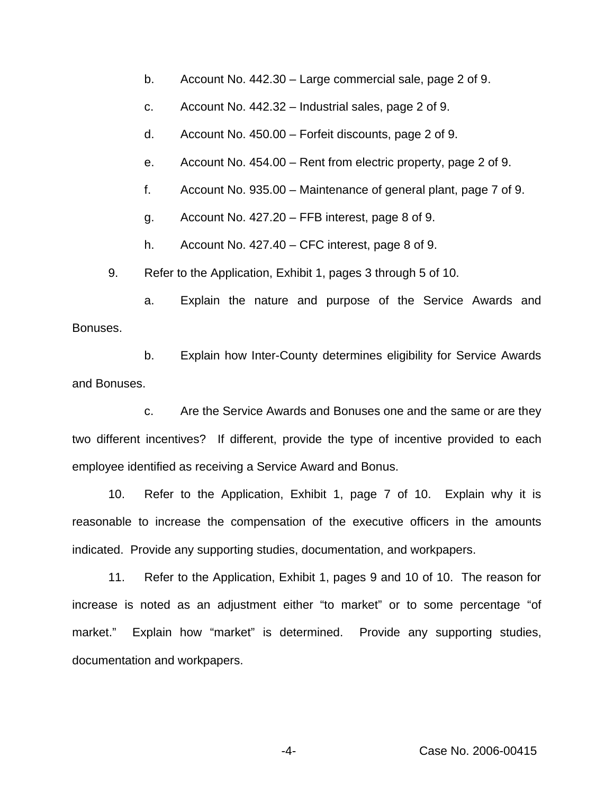- b. Account No. 442.30 Large commercial sale, page 2 of 9.
- c. Account No. 442.32 Industrial sales, page 2 of 9.
- d. Account No. 450.00 Forfeit discounts, page 2 of 9.
- e. Account No. 454.00 Rent from electric property, page 2 of 9.
- f. Account No. 935.00 Maintenance of general plant, page 7 of 9.
- g. Account No. 427.20 FFB interest, page 8 of 9.

h. Account No. 427.40 – CFC interest, page 8 of 9.

9. Refer to the Application, Exhibit 1, pages 3 through 5 of 10.

a. Explain the nature and purpose of the Service Awards and Bonuses.

b. Explain how Inter-County determines eligibility for Service Awards and Bonuses.

c. Are the Service Awards and Bonuses one and the same or are they two different incentives? If different, provide the type of incentive provided to each employee identified as receiving a Service Award and Bonus.

10. Refer to the Application, Exhibit 1, page 7 of 10. Explain why it is reasonable to increase the compensation of the executive officers in the amounts indicated. Provide any supporting studies, documentation, and workpapers.

11. Refer to the Application, Exhibit 1, pages 9 and 10 of 10. The reason for increase is noted as an adjustment either "to market" or to some percentage "of market." Explain how "market" is determined. Provide any supporting studies, documentation and workpapers.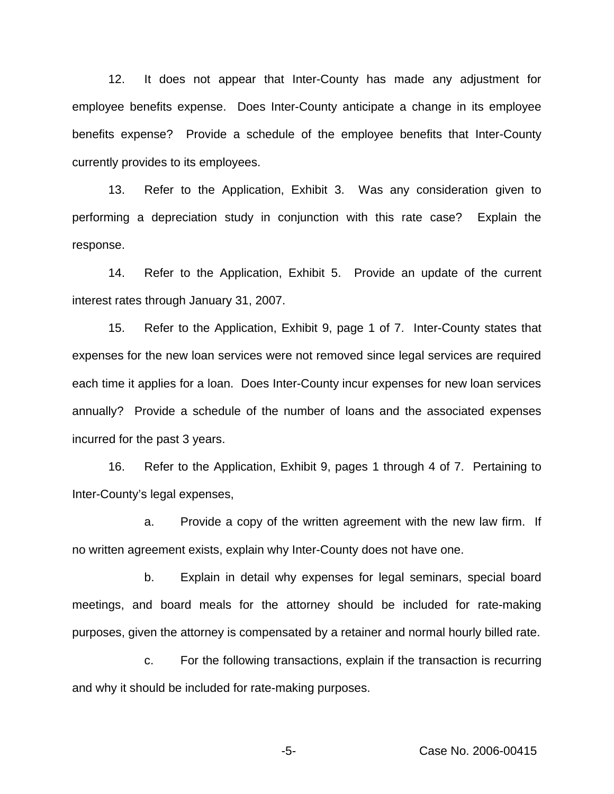12. It does not appear that Inter-County has made any adjustment for employee benefits expense. Does Inter-County anticipate a change in its employee benefits expense? Provide a schedule of the employee benefits that Inter-County currently provides to its employees.

13. Refer to the Application, Exhibit 3. Was any consideration given to performing a depreciation study in conjunction with this rate case? Explain the response.

14. Refer to the Application, Exhibit 5. Provide an update of the current interest rates through January 31, 2007.

15. Refer to the Application, Exhibit 9, page 1 of 7. Inter-County states that expenses for the new loan services were not removed since legal services are required each time it applies for a loan. Does Inter-County incur expenses for new loan services annually? Provide a schedule of the number of loans and the associated expenses incurred for the past 3 years.

16. Refer to the Application, Exhibit 9, pages 1 through 4 of 7. Pertaining to Inter-County's legal expenses,

a. Provide a copy of the written agreement with the new law firm. If no written agreement exists, explain why Inter-County does not have one.

b. Explain in detail why expenses for legal seminars, special board meetings, and board meals for the attorney should be included for rate-making purposes, given the attorney is compensated by a retainer and normal hourly billed rate.

c. For the following transactions, explain if the transaction is recurring and why it should be included for rate-making purposes.

-5- Case No. 2006-00415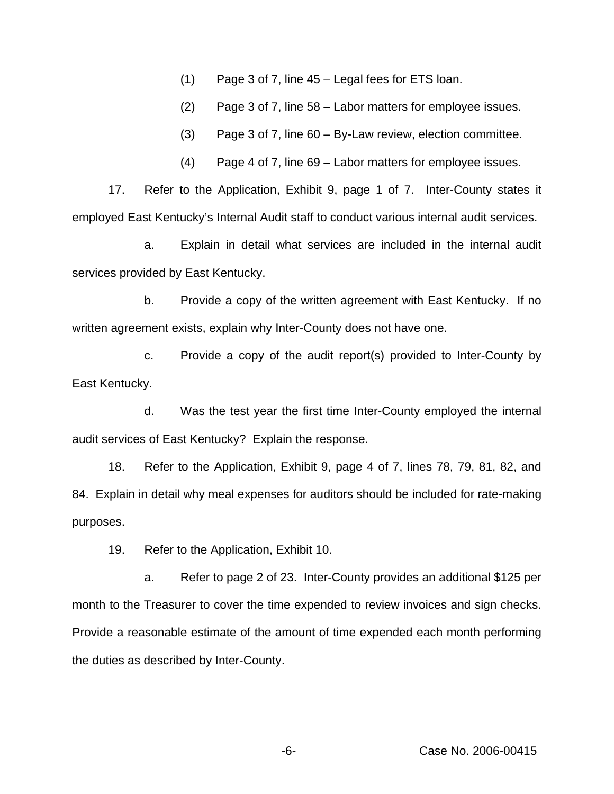(1) Page 3 of 7, line 45 – Legal fees for ETS loan.

(2) Page 3 of 7, line 58 – Labor matters for employee issues.

(3) Page 3 of 7, line 60 – By-Law review, election committee.

(4) Page 4 of 7, line 69 – Labor matters for employee issues.

17. Refer to the Application, Exhibit 9, page 1 of 7. Inter-County states it employed East Kentucky's Internal Audit staff to conduct various internal audit services.

a. Explain in detail what services are included in the internal audit services provided by East Kentucky.

b. Provide a copy of the written agreement with East Kentucky. If no written agreement exists, explain why Inter-County does not have one.

c. Provide a copy of the audit report(s) provided to Inter-County by East Kentucky.

d. Was the test year the first time Inter-County employed the internal audit services of East Kentucky? Explain the response.

18. Refer to the Application, Exhibit 9, page 4 of 7, lines 78, 79, 81, 82, and 84. Explain in detail why meal expenses for auditors should be included for rate-making purposes.

19. Refer to the Application, Exhibit 10.

a. Refer to page 2 of 23. Inter-County provides an additional \$125 per month to the Treasurer to cover the time expended to review invoices and sign checks. Provide a reasonable estimate of the amount of time expended each month performing the duties as described by Inter-County.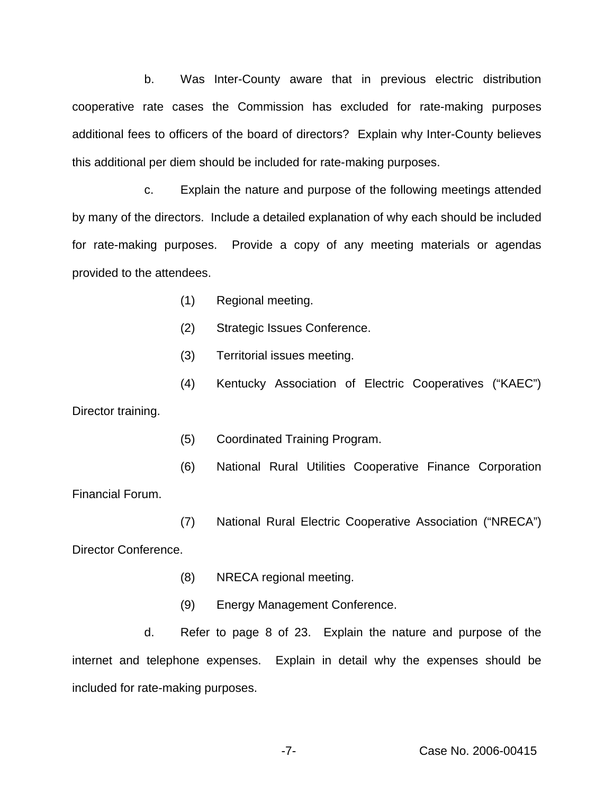b. Was Inter-County aware that in previous electric distribution cooperative rate cases the Commission has excluded for rate-making purposes additional fees to officers of the board of directors? Explain why Inter-County believes this additional per diem should be included for rate-making purposes.

c. Explain the nature and purpose of the following meetings attended by many of the directors. Include a detailed explanation of why each should be included for rate-making purposes. Provide a copy of any meeting materials or agendas provided to the attendees.

- (1) Regional meeting.
- (2) Strategic Issues Conference.
- (3) Territorial issues meeting.
- (4) Kentucky Association of Electric Cooperatives ("KAEC")

Director training.

- (5) Coordinated Training Program.
- (6) National Rural Utilities Cooperative Finance Corporation

Financial Forum.

(7) National Rural Electric Cooperative Association ("NRECA")

Director Conference.

- (8) NRECA regional meeting.
- (9) Energy Management Conference.

d. Refer to page 8 of 23. Explain the nature and purpose of the internet and telephone expenses. Explain in detail why the expenses should be included for rate-making purposes.

-7- Case No. 2006-00415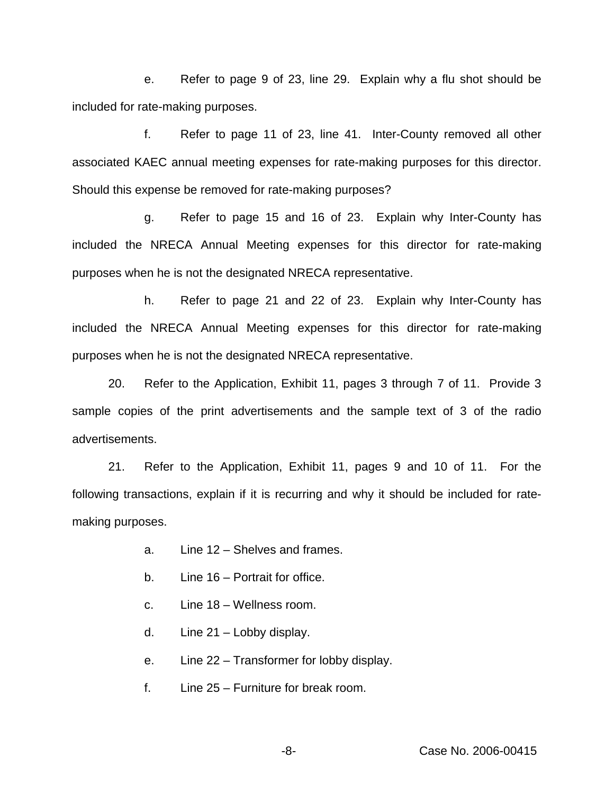e. Refer to page 9 of 23, line 29. Explain why a flu shot should be included for rate-making purposes.

f. Refer to page 11 of 23, line 41. Inter-County removed all other associated KAEC annual meeting expenses for rate-making purposes for this director. Should this expense be removed for rate-making purposes?

g. Refer to page 15 and 16 of 23. Explain why Inter-County has included the NRECA Annual Meeting expenses for this director for rate-making purposes when he is not the designated NRECA representative.

h. Refer to page 21 and 22 of 23. Explain why Inter-County has included the NRECA Annual Meeting expenses for this director for rate-making purposes when he is not the designated NRECA representative.

20. Refer to the Application, Exhibit 11, pages 3 through 7 of 11. Provide 3 sample copies of the print advertisements and the sample text of 3 of the radio advertisements.

21. Refer to the Application, Exhibit 11, pages 9 and 10 of 11. For the following transactions, explain if it is recurring and why it should be included for ratemaking purposes.

- a. Line 12 Shelves and frames.
- b. Line 16 Portrait for office.
- c. Line 18 Wellness room.
- d. Line 21 Lobby display.
- e. Line 22 Transformer for lobby display.
- f. Line 25 Furniture for break room.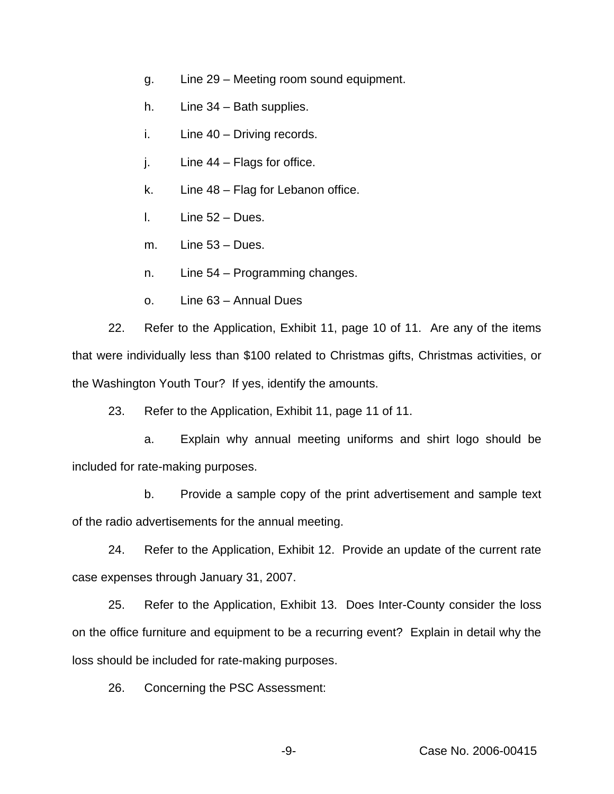- g. Line 29 Meeting room sound equipment.
- h. Line 34 Bath supplies.
- i. Line 40 Driving records.
- j. Line 44 Flags for office.
- k. Line 48 Flag for Lebanon office.
- l. Line 52 Dues.
- m. Line 53 Dues.
- n. Line 54 Programming changes.
- o. Line 63 Annual Dues

22. Refer to the Application, Exhibit 11, page 10 of 11. Are any of the items that were individually less than \$100 related to Christmas gifts, Christmas activities, or the Washington Youth Tour? If yes, identify the amounts.

23. Refer to the Application, Exhibit 11, page 11 of 11.

a. Explain why annual meeting uniforms and shirt logo should be included for rate-making purposes.

b. Provide a sample copy of the print advertisement and sample text of the radio advertisements for the annual meeting.

24. Refer to the Application, Exhibit 12. Provide an update of the current rate case expenses through January 31, 2007.

25. Refer to the Application, Exhibit 13. Does Inter-County consider the loss on the office furniture and equipment to be a recurring event? Explain in detail why the loss should be included for rate-making purposes.

26. Concerning the PSC Assessment: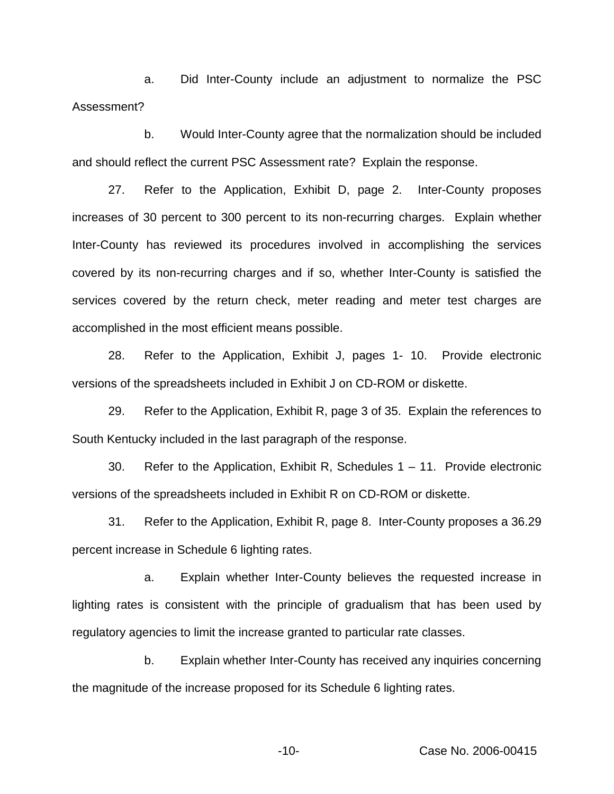a. Did Inter-County include an adjustment to normalize the PSC Assessment?

b. Would Inter-County agree that the normalization should be included and should reflect the current PSC Assessment rate? Explain the response.

27. Refer to the Application, Exhibit D, page 2. Inter-County proposes increases of 30 percent to 300 percent to its non-recurring charges. Explain whether Inter-County has reviewed its procedures involved in accomplishing the services covered by its non-recurring charges and if so, whether Inter-County is satisfied the services covered by the return check, meter reading and meter test charges are accomplished in the most efficient means possible.

28. Refer to the Application, Exhibit J, pages 1- 10. Provide electronic versions of the spreadsheets included in Exhibit J on CD-ROM or diskette.

29. Refer to the Application, Exhibit R, page 3 of 35. Explain the references to South Kentucky included in the last paragraph of the response.

30. Refer to the Application, Exhibit R, Schedules 1 – 11. Provide electronic versions of the spreadsheets included in Exhibit R on CD-ROM or diskette.

31. Refer to the Application, Exhibit R, page 8. Inter-County proposes a 36.29 percent increase in Schedule 6 lighting rates.

a. Explain whether Inter-County believes the requested increase in lighting rates is consistent with the principle of gradualism that has been used by regulatory agencies to limit the increase granted to particular rate classes.

b. Explain whether Inter-County has received any inquiries concerning the magnitude of the increase proposed for its Schedule 6 lighting rates.

-10- Case No. 2006-00415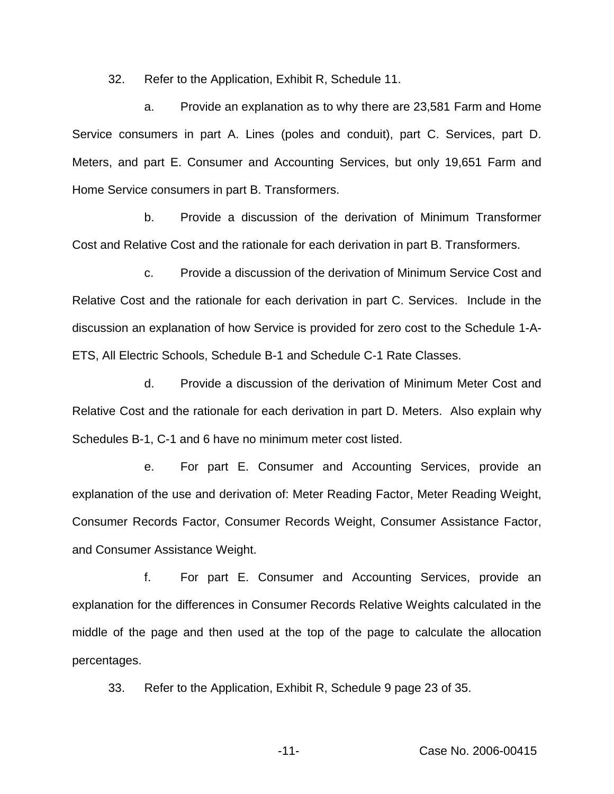32. Refer to the Application, Exhibit R, Schedule 11.

a. Provide an explanation as to why there are 23,581 Farm and Home Service consumers in part A. Lines (poles and conduit), part C. Services, part D. Meters, and part E. Consumer and Accounting Services, but only 19,651 Farm and Home Service consumers in part B. Transformers.

b. Provide a discussion of the derivation of Minimum Transformer Cost and Relative Cost and the rationale for each derivation in part B. Transformers.

c. Provide a discussion of the derivation of Minimum Service Cost and Relative Cost and the rationale for each derivation in part C. Services. Include in the discussion an explanation of how Service is provided for zero cost to the Schedule 1-A-ETS, All Electric Schools, Schedule B-1 and Schedule C-1 Rate Classes.

d. Provide a discussion of the derivation of Minimum Meter Cost and Relative Cost and the rationale for each derivation in part D. Meters. Also explain why Schedules B-1, C-1 and 6 have no minimum meter cost listed.

e. For part E. Consumer and Accounting Services, provide an explanation of the use and derivation of: Meter Reading Factor, Meter Reading Weight, Consumer Records Factor, Consumer Records Weight, Consumer Assistance Factor, and Consumer Assistance Weight.

f. For part E. Consumer and Accounting Services, provide an explanation for the differences in Consumer Records Relative Weights calculated in the middle of the page and then used at the top of the page to calculate the allocation percentages.

33. Refer to the Application, Exhibit R, Schedule 9 page 23 of 35.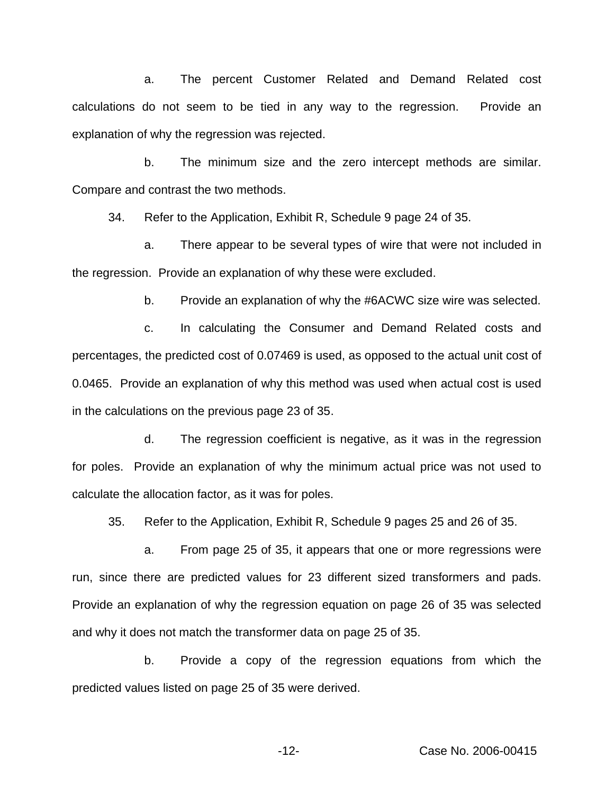a. The percent Customer Related and Demand Related cost calculations do not seem to be tied in any way to the regression. Provide an explanation of why the regression was rejected.

b. The minimum size and the zero intercept methods are similar. Compare and contrast the two methods.

34. Refer to the Application, Exhibit R, Schedule 9 page 24 of 35.

a. There appear to be several types of wire that were not included in the regression. Provide an explanation of why these were excluded.

b. Provide an explanation of why the #6ACWC size wire was selected.

c. In calculating the Consumer and Demand Related costs and percentages, the predicted cost of 0.07469 is used, as opposed to the actual unit cost of 0.0465. Provide an explanation of why this method was used when actual cost is used in the calculations on the previous page 23 of 35.

d. The regression coefficient is negative, as it was in the regression for poles. Provide an explanation of why the minimum actual price was not used to calculate the allocation factor, as it was for poles.

35. Refer to the Application, Exhibit R, Schedule 9 pages 25 and 26 of 35.

a. From page 25 of 35, it appears that one or more regressions were run, since there are predicted values for 23 different sized transformers and pads. Provide an explanation of why the regression equation on page 26 of 35 was selected and why it does not match the transformer data on page 25 of 35.

b. Provide a copy of the regression equations from which the predicted values listed on page 25 of 35 were derived.

-12- Case No. 2006-00415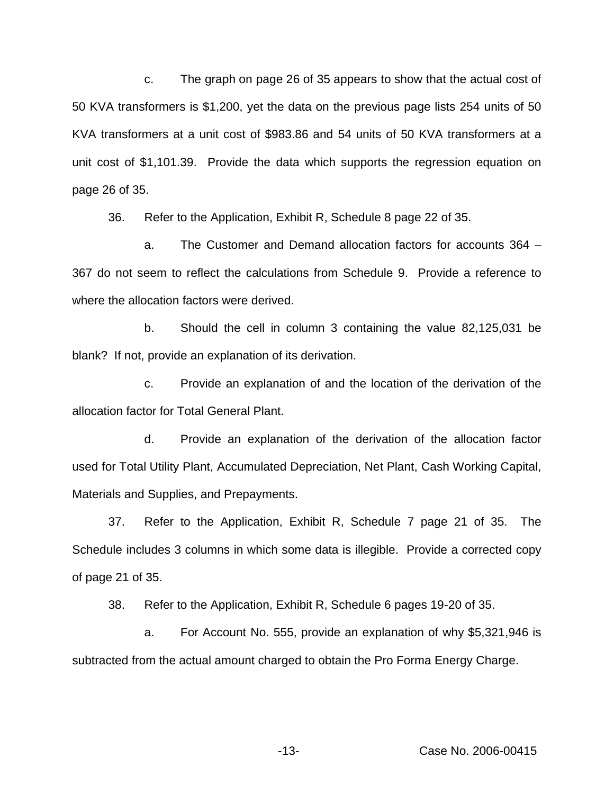c. The graph on page 26 of 35 appears to show that the actual cost of 50 KVA transformers is \$1,200, yet the data on the previous page lists 254 units of 50 KVA transformers at a unit cost of \$983.86 and 54 units of 50 KVA transformers at a unit cost of \$1,101.39. Provide the data which supports the regression equation on page 26 of 35.

36. Refer to the Application, Exhibit R, Schedule 8 page 22 of 35.

a. The Customer and Demand allocation factors for accounts 364 – 367 do not seem to reflect the calculations from Schedule 9. Provide a reference to where the allocation factors were derived.

b. Should the cell in column 3 containing the value 82,125,031 be blank? If not, provide an explanation of its derivation.

c. Provide an explanation of and the location of the derivation of the allocation factor for Total General Plant.

d. Provide an explanation of the derivation of the allocation factor used for Total Utility Plant, Accumulated Depreciation, Net Plant, Cash Working Capital, Materials and Supplies, and Prepayments.

37. Refer to the Application, Exhibit R, Schedule 7 page 21 of 35. The Schedule includes 3 columns in which some data is illegible. Provide a corrected copy of page 21 of 35.

38. Refer to the Application, Exhibit R, Schedule 6 pages 19-20 of 35.

a. For Account No. 555, provide an explanation of why \$5,321,946 is subtracted from the actual amount charged to obtain the Pro Forma Energy Charge.

-13- Case No. 2006-00415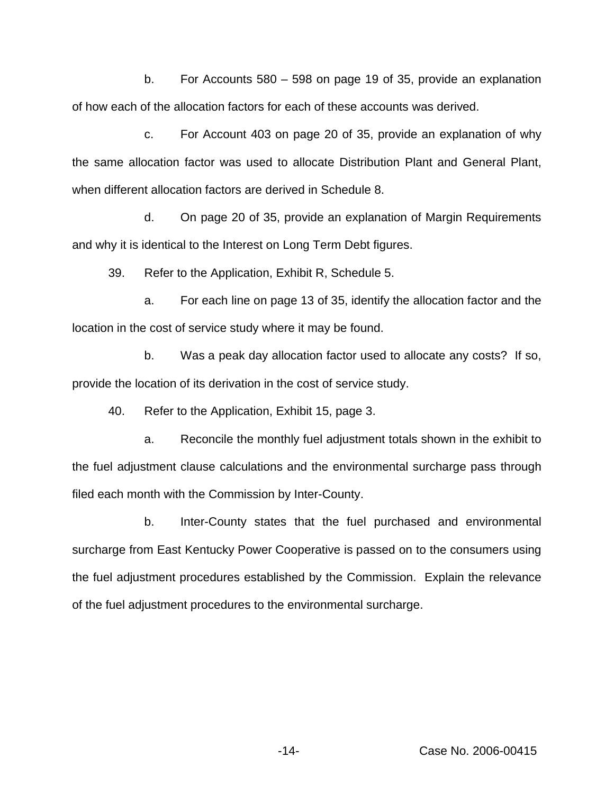b. For Accounts 580 – 598 on page 19 of 35, provide an explanation of how each of the allocation factors for each of these accounts was derived.

c. For Account 403 on page 20 of 35, provide an explanation of why the same allocation factor was used to allocate Distribution Plant and General Plant, when different allocation factors are derived in Schedule 8.

d. On page 20 of 35, provide an explanation of Margin Requirements and why it is identical to the Interest on Long Term Debt figures.

39. Refer to the Application, Exhibit R, Schedule 5.

a. For each line on page 13 of 35, identify the allocation factor and the location in the cost of service study where it may be found.

b. Was a peak day allocation factor used to allocate any costs? If so, provide the location of its derivation in the cost of service study.

40. Refer to the Application, Exhibit 15, page 3.

a. Reconcile the monthly fuel adjustment totals shown in the exhibit to the fuel adjustment clause calculations and the environmental surcharge pass through filed each month with the Commission by Inter-County.

b. Inter-County states that the fuel purchased and environmental surcharge from East Kentucky Power Cooperative is passed on to the consumers using the fuel adjustment procedures established by the Commission. Explain the relevance of the fuel adjustment procedures to the environmental surcharge.